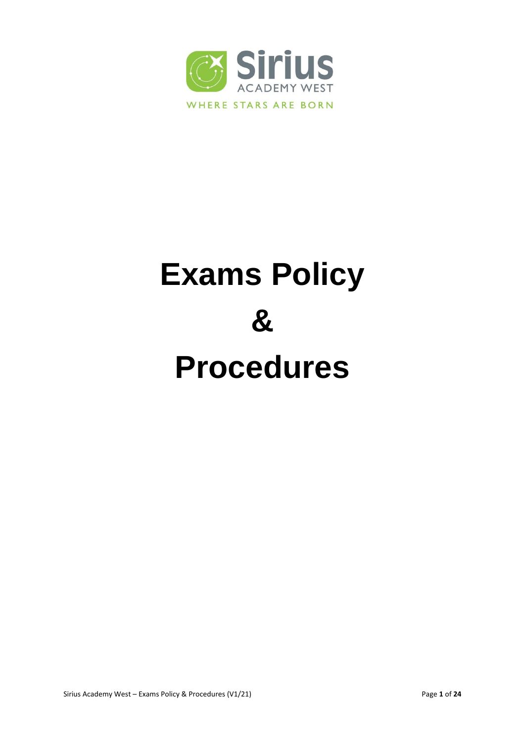

# **Exams Policy & Procedures**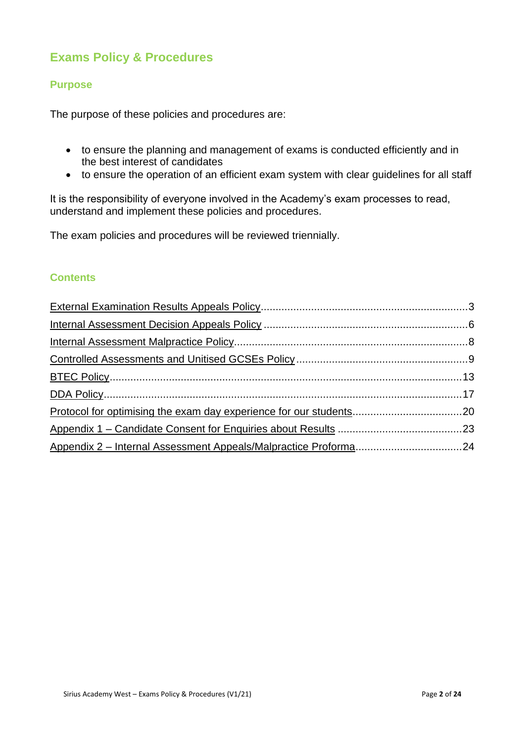# **Exams Policy & Procedures**

#### **Purpose**

The purpose of these policies and procedures are:

- to ensure the planning and management of exams is conducted efficiently and in the best interest of candidates
- to ensure the operation of an efficient exam system with clear guidelines for all staff

It is the responsibility of everyone involved in the Academy's exam processes to read, understand and implement these policies and procedures.

The exam policies and procedures will be reviewed triennially.

#### **Contents**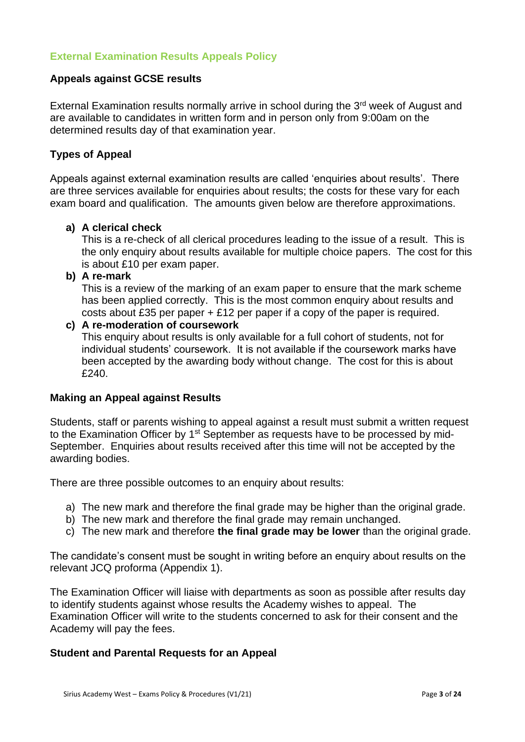## <span id="page-2-0"></span>**External Examination Results Appeals Policy**

#### **Appeals against GCSE results**

External Examination results normally arrive in school during the 3<sup>rd</sup> week of August and are available to candidates in written form and in person only from 9:00am on the determined results day of that examination year.

#### **Types of Appeal**

Appeals against external examination results are called 'enquiries about results'. There are three services available for enquiries about results; the costs for these vary for each exam board and qualification. The amounts given below are therefore approximations.

#### **a) A clerical check**

This is a re-check of all clerical procedures leading to the issue of a result. This is the only enquiry about results available for multiple choice papers. The cost for this is about £10 per exam paper.

**b) A re-mark**

This is a review of the marking of an exam paper to ensure that the mark scheme has been applied correctly. This is the most common enquiry about results and costs about £35 per paper  $+$  £12 per paper if a copy of the paper is required.

#### **c) A re-moderation of coursework**

This enquiry about results is only available for a full cohort of students, not for individual students' coursework. It is not available if the coursework marks have been accepted by the awarding body without change. The cost for this is about £240.

#### **Making an Appeal against Results**

Students, staff or parents wishing to appeal against a result must submit a written request to the Examination Officer by 1<sup>st</sup> September as requests have to be processed by mid-September. Enquiries about results received after this time will not be accepted by the awarding bodies.

There are three possible outcomes to an enquiry about results:

- a) The new mark and therefore the final grade may be higher than the original grade.
- b) The new mark and therefore the final grade may remain unchanged.
- c) The new mark and therefore **the final grade may be lower** than the original grade.

The candidate's consent must be sought in writing before an enquiry about results on the relevant JCQ proforma (Appendix 1).

The Examination Officer will liaise with departments as soon as possible after results day to identify students against whose results the Academy wishes to appeal. The Examination Officer will write to the students concerned to ask for their consent and the Academy will pay the fees.

#### **Student and Parental Requests for an Appeal**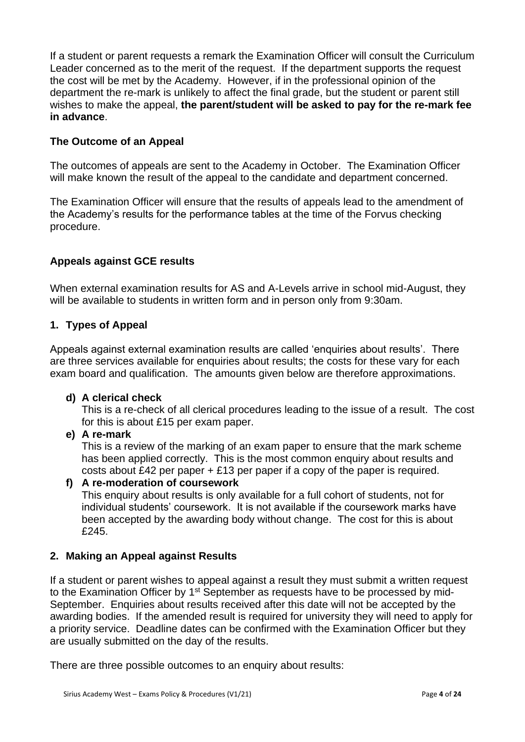If a student or parent requests a remark the Examination Officer will consult the Curriculum Leader concerned as to the merit of the request. If the department supports the request the cost will be met by the Academy. However, if in the professional opinion of the department the re-mark is unlikely to affect the final grade, but the student or parent still wishes to make the appeal, **the parent/student will be asked to pay for the re-mark fee in advance**.

## **The Outcome of an Appeal**

The outcomes of appeals are sent to the Academy in October. The Examination Officer will make known the result of the appeal to the candidate and department concerned.

The Examination Officer will ensure that the results of appeals lead to the amendment of the Academy's results for the performance tables at the time of the Forvus checking procedure.

## **Appeals against GCE results**

When external examination results for AS and A-Levels arrive in school mid-August, they will be available to students in written form and in person only from 9:30am.

#### **1. Types of Appeal**

Appeals against external examination results are called 'enquiries about results'. There are three services available for enquiries about results; the costs for these vary for each exam board and qualification. The amounts given below are therefore approximations.

#### **d) A clerical check**

This is a re-check of all clerical procedures leading to the issue of a result. The cost for this is about £15 per exam paper.

#### **e) A re-mark**

This is a review of the marking of an exam paper to ensure that the mark scheme has been applied correctly. This is the most common enquiry about results and costs about £42 per paper + £13 per paper if a copy of the paper is required.

#### **f) A re-moderation of coursework**

This enquiry about results is only available for a full cohort of students, not for individual students' coursework. It is not available if the coursework marks have been accepted by the awarding body without change. The cost for this is about £245.

#### **2. Making an Appeal against Results**

If a student or parent wishes to appeal against a result they must submit a written request to the Examination Officer by 1<sup>st</sup> September as requests have to be processed by mid-September. Enquiries about results received after this date will not be accepted by the awarding bodies. If the amended result is required for university they will need to apply for a priority service. Deadline dates can be confirmed with the Examination Officer but they are usually submitted on the day of the results.

There are three possible outcomes to an enquiry about results: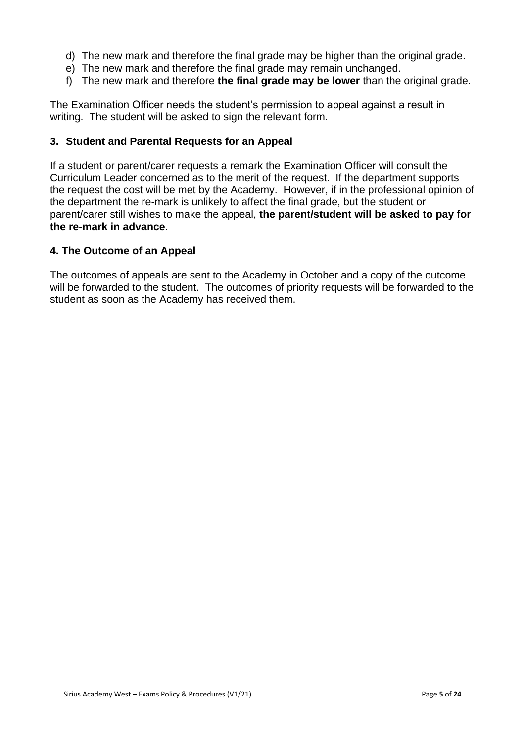- d) The new mark and therefore the final grade may be higher than the original grade.
- e) The new mark and therefore the final grade may remain unchanged.
- f) The new mark and therefore **the final grade may be lower** than the original grade.

The Examination Officer needs the student's permission to appeal against a result in writing. The student will be asked to sign the relevant form.

#### **3. Student and Parental Requests for an Appeal**

If a student or parent/carer requests a remark the Examination Officer will consult the Curriculum Leader concerned as to the merit of the request. If the department supports the request the cost will be met by the Academy. However, if in the professional opinion of the department the re-mark is unlikely to affect the final grade, but the student or parent/carer still wishes to make the appeal, **the parent/student will be asked to pay for the re-mark in advance**.

#### **4. The Outcome of an Appeal**

The outcomes of appeals are sent to the Academy in October and a copy of the outcome will be forwarded to the student. The outcomes of priority requests will be forwarded to the student as soon as the Academy has received them.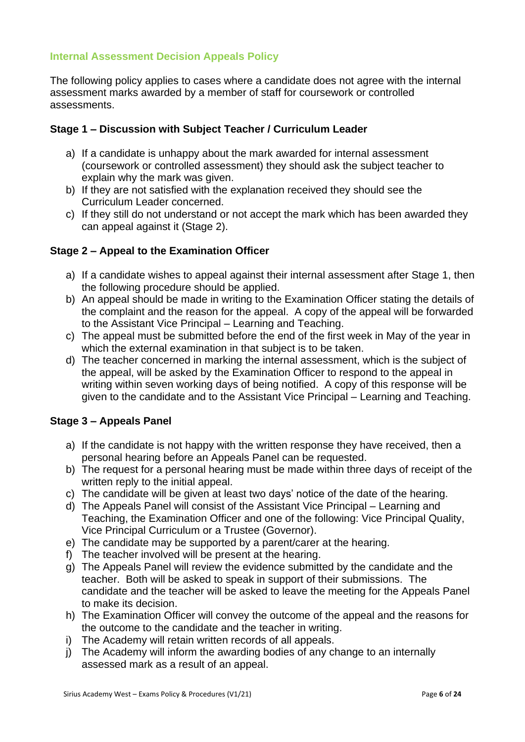## <span id="page-5-0"></span>**Internal Assessment Decision Appeals Policy**

The following policy applies to cases where a candidate does not agree with the internal assessment marks awarded by a member of staff for coursework or controlled assessments.

#### **Stage 1 – Discussion with Subject Teacher / Curriculum Leader**

- a) If a candidate is unhappy about the mark awarded for internal assessment (coursework or controlled assessment) they should ask the subject teacher to explain why the mark was given.
- b) If they are not satisfied with the explanation received they should see the Curriculum Leader concerned.
- c) If they still do not understand or not accept the mark which has been awarded they can appeal against it (Stage 2).

#### **Stage 2 – Appeal to the Examination Officer**

- a) If a candidate wishes to appeal against their internal assessment after Stage 1, then the following procedure should be applied.
- b) An appeal should be made in writing to the Examination Officer stating the details of the complaint and the reason for the appeal. A copy of the appeal will be forwarded to the Assistant Vice Principal – Learning and Teaching.
- c) The appeal must be submitted before the end of the first week in May of the year in which the external examination in that subject is to be taken.
- d) The teacher concerned in marking the internal assessment, which is the subject of the appeal, will be asked by the Examination Officer to respond to the appeal in writing within seven working days of being notified. A copy of this response will be given to the candidate and to the Assistant Vice Principal – Learning and Teaching.

#### **Stage 3 – Appeals Panel**

- a) If the candidate is not happy with the written response they have received, then a personal hearing before an Appeals Panel can be requested.
- b) The request for a personal hearing must be made within three days of receipt of the written reply to the initial appeal.
- c) The candidate will be given at least two days' notice of the date of the hearing.
- d) The Appeals Panel will consist of the Assistant Vice Principal Learning and Teaching, the Examination Officer and one of the following: Vice Principal Quality, Vice Principal Curriculum or a Trustee (Governor).
- e) The candidate may be supported by a parent/carer at the hearing.
- f) The teacher involved will be present at the hearing.
- g) The Appeals Panel will review the evidence submitted by the candidate and the teacher. Both will be asked to speak in support of their submissions. The candidate and the teacher will be asked to leave the meeting for the Appeals Panel to make its decision.
- h) The Examination Officer will convey the outcome of the appeal and the reasons for the outcome to the candidate and the teacher in writing.
- i) The Academy will retain written records of all appeals.
- j) The Academy will inform the awarding bodies of any change to an internally assessed mark as a result of an appeal.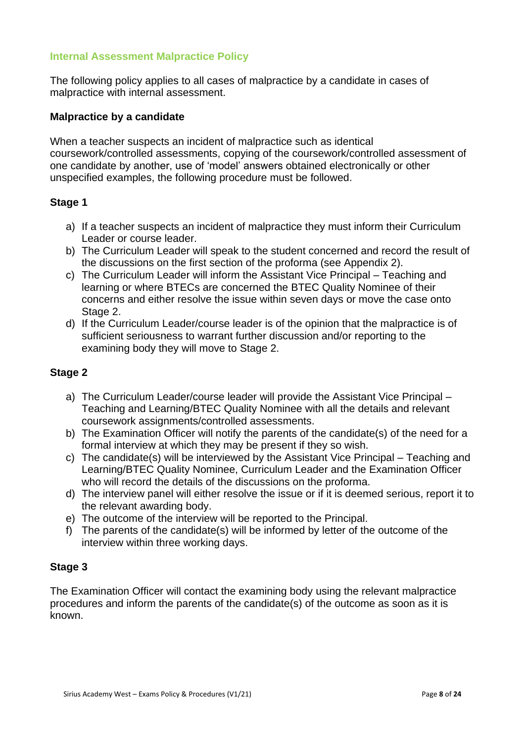#### <span id="page-7-0"></span>**Internal Assessment Malpractice Policy**

The following policy applies to all cases of malpractice by a candidate in cases of malpractice with internal assessment.

#### **Malpractice by a candidate**

When a teacher suspects an incident of malpractice such as identical coursework/controlled assessments, copying of the coursework/controlled assessment of one candidate by another, use of 'model' answers obtained electronically or other unspecified examples, the following procedure must be followed.

#### **Stage 1**

- a) If a teacher suspects an incident of malpractice they must inform their Curriculum Leader or course leader.
- b) The Curriculum Leader will speak to the student concerned and record the result of the discussions on the first section of the proforma (see Appendix 2).
- c) The Curriculum Leader will inform the Assistant Vice Principal Teaching and learning or where BTECs are concerned the BTEC Quality Nominee of their concerns and either resolve the issue within seven days or move the case onto Stage 2.
- d) If the Curriculum Leader/course leader is of the opinion that the malpractice is of sufficient seriousness to warrant further discussion and/or reporting to the examining body they will move to Stage 2.

#### **Stage 2**

- a) The Curriculum Leader/course leader will provide the Assistant Vice Principal Teaching and Learning/BTEC Quality Nominee with all the details and relevant coursework assignments/controlled assessments.
- b) The Examination Officer will notify the parents of the candidate(s) of the need for a formal interview at which they may be present if they so wish.
- c) The candidate(s) will be interviewed by the Assistant Vice Principal Teaching and Learning/BTEC Quality Nominee, Curriculum Leader and the Examination Officer who will record the details of the discussions on the proforma.
- d) The interview panel will either resolve the issue or if it is deemed serious, report it to the relevant awarding body.
- e) The outcome of the interview will be reported to the Principal.
- f) The parents of the candidate(s) will be informed by letter of the outcome of the interview within three working days.

#### **Stage 3**

The Examination Officer will contact the examining body using the relevant malpractice procedures and inform the parents of the candidate(s) of the outcome as soon as it is known.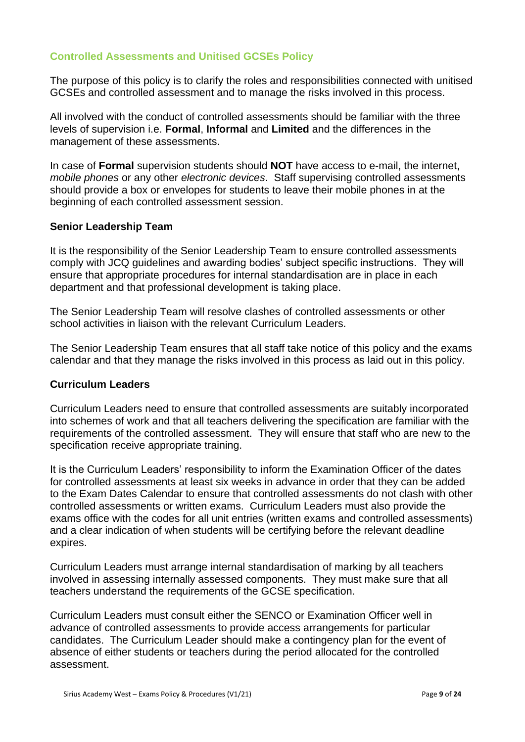## <span id="page-8-0"></span>**Controlled Assessments and Unitised GCSEs Policy**

The purpose of this policy is to clarify the roles and responsibilities connected with unitised GCSEs and controlled assessment and to manage the risks involved in this process.

All involved with the conduct of controlled assessments should be familiar with the three levels of supervision i.e. **Formal**, **Informal** and **Limited** and the differences in the management of these assessments.

In case of **Formal** supervision students should **NOT** have access to e-mail, the internet, *mobile phones* or any other *electronic devices*. Staff supervising controlled assessments should provide a box or envelopes for students to leave their mobile phones in at the beginning of each controlled assessment session.

#### **Senior Leadership Team**

It is the responsibility of the Senior Leadership Team to ensure controlled assessments comply with JCQ guidelines and awarding bodies' subject specific instructions. They will ensure that appropriate procedures for internal standardisation are in place in each department and that professional development is taking place.

The Senior Leadership Team will resolve clashes of controlled assessments or other school activities in liaison with the relevant Curriculum Leaders.

The Senior Leadership Team ensures that all staff take notice of this policy and the exams calendar and that they manage the risks involved in this process as laid out in this policy.

#### **Curriculum Leaders**

Curriculum Leaders need to ensure that controlled assessments are suitably incorporated into schemes of work and that all teachers delivering the specification are familiar with the requirements of the controlled assessment. They will ensure that staff who are new to the specification receive appropriate training.

It is the Curriculum Leaders' responsibility to inform the Examination Officer of the dates for controlled assessments at least six weeks in advance in order that they can be added to the Exam Dates Calendar to ensure that controlled assessments do not clash with other controlled assessments or written exams. Curriculum Leaders must also provide the exams office with the codes for all unit entries (written exams and controlled assessments) and a clear indication of when students will be certifying before the relevant deadline expires.

Curriculum Leaders must arrange internal standardisation of marking by all teachers involved in assessing internally assessed components. They must make sure that all teachers understand the requirements of the GCSE specification.

Curriculum Leaders must consult either the SENCO or Examination Officer well in advance of controlled assessments to provide access arrangements for particular candidates. The Curriculum Leader should make a contingency plan for the event of absence of either students or teachers during the period allocated for the controlled assessment.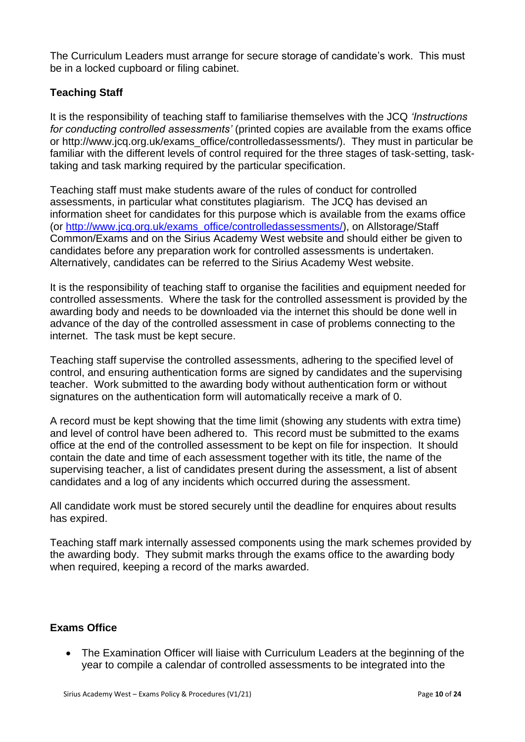The Curriculum Leaders must arrange for secure storage of candidate's work. This must be in a locked cupboard or filing cabinet.

## **Teaching Staff**

It is the responsibility of teaching staff to familiarise themselves with the JCQ *'Instructions for conducting controlled assessments'* (printed copies are available from the exams office or http://www.jcq.org.uk/exams\_office/controlledassessments/). They must in particular be familiar with the different levels of control required for the three stages of task-setting, tasktaking and task marking required by the particular specification.

Teaching staff must make students aware of the rules of conduct for controlled assessments, in particular what constitutes plagiarism. The JCQ has devised an information sheet for candidates for this purpose which is available from the exams office (or [http://www.jcq.org.uk/exams\\_office/controlledassessments/\)](http://www.jcq.org.uk/exams_office/controlledassessments/), on Allstorage/Staff Common/Exams and on the Sirius Academy West website and should either be given to candidates before any preparation work for controlled assessments is undertaken. Alternatively, candidates can be referred to the Sirius Academy West website.

It is the responsibility of teaching staff to organise the facilities and equipment needed for controlled assessments. Where the task for the controlled assessment is provided by the awarding body and needs to be downloaded via the internet this should be done well in advance of the day of the controlled assessment in case of problems connecting to the internet. The task must be kept secure.

Teaching staff supervise the controlled assessments, adhering to the specified level of control, and ensuring authentication forms are signed by candidates and the supervising teacher. Work submitted to the awarding body without authentication form or without signatures on the authentication form will automatically receive a mark of 0.

A record must be kept showing that the time limit (showing any students with extra time) and level of control have been adhered to. This record must be submitted to the exams office at the end of the controlled assessment to be kept on file for inspection. It should contain the date and time of each assessment together with its title, the name of the supervising teacher, a list of candidates present during the assessment, a list of absent candidates and a log of any incidents which occurred during the assessment.

All candidate work must be stored securely until the deadline for enquires about results has expired.

Teaching staff mark internally assessed components using the mark schemes provided by the awarding body. They submit marks through the exams office to the awarding body when required, keeping a record of the marks awarded.

#### **Exams Office**

 The Examination Officer will liaise with Curriculum Leaders at the beginning of the year to compile a calendar of controlled assessments to be integrated into the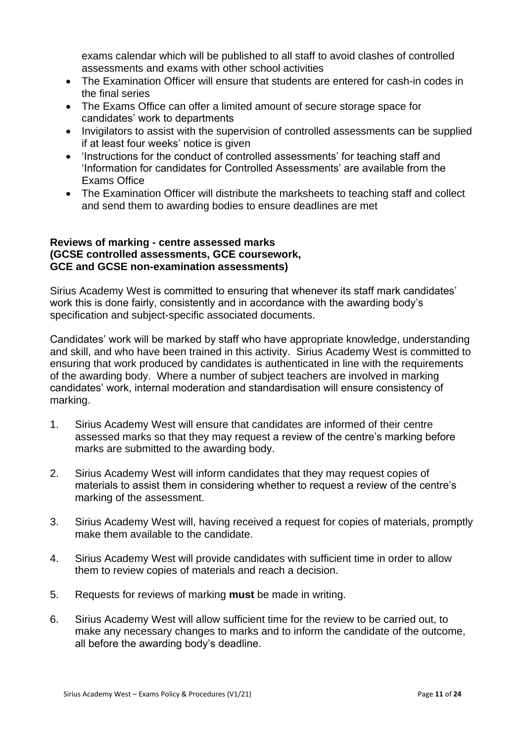exams calendar which will be published to all staff to avoid clashes of controlled assessments and exams with other school activities

- The Examination Officer will ensure that students are entered for cash-in codes in the final series
- The Exams Office can offer a limited amount of secure storage space for candidates' work to departments
- Invigilators to assist with the supervision of controlled assessments can be supplied if at least four weeks' notice is given
- 'Instructions for the conduct of controlled assessments' for teaching staff and 'Information for candidates for Controlled Assessments' are available from the Exams Office
- The Examination Officer will distribute the marksheets to teaching staff and collect and send them to awarding bodies to ensure deadlines are met

#### **Reviews of marking - centre assessed marks (GCSE controlled assessments, GCE coursework, GCE and GCSE non-examination assessments)**

Sirius Academy West is committed to ensuring that whenever its staff mark candidates' work this is done fairly, consistently and in accordance with the awarding body's specification and subject-specific associated documents.

Candidates' work will be marked by staff who have appropriate knowledge, understanding and skill, and who have been trained in this activity. Sirius Academy West is committed to ensuring that work produced by candidates is authenticated in line with the requirements of the awarding body. Where a number of subject teachers are involved in marking candidates' work, internal moderation and standardisation will ensure consistency of marking.

- 1. Sirius Academy West will ensure that candidates are informed of their centre assessed marks so that they may request a review of the centre's marking before marks are submitted to the awarding body.
- 2. Sirius Academy West will inform candidates that they may request copies of materials to assist them in considering whether to request a review of the centre's marking of the assessment.
- 3. Sirius Academy West will, having received a request for copies of materials, promptly make them available to the candidate.
- 4. Sirius Academy West will provide candidates with sufficient time in order to allow them to review copies of materials and reach a decision.
- 5. Requests for reviews of marking **must** be made in writing.
- 6. Sirius Academy West will allow sufficient time for the review to be carried out, to make any necessary changes to marks and to inform the candidate of the outcome, all before the awarding body's deadline.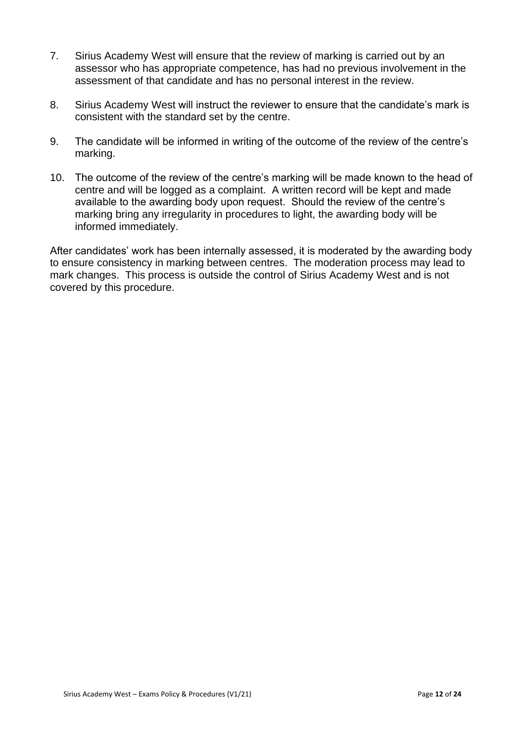- 7. Sirius Academy West will ensure that the review of marking is carried out by an assessor who has appropriate competence, has had no previous involvement in the assessment of that candidate and has no personal interest in the review.
- 8. Sirius Academy West will instruct the reviewer to ensure that the candidate's mark is consistent with the standard set by the centre.
- 9. The candidate will be informed in writing of the outcome of the review of the centre's marking.
- 10. The outcome of the review of the centre's marking will be made known to the head of centre and will be logged as a complaint. A written record will be kept and made available to the awarding body upon request. Should the review of the centre's marking bring any irregularity in procedures to light, the awarding body will be informed immediately.

After candidates' work has been internally assessed, it is moderated by the awarding body to ensure consistency in marking between centres. The moderation process may lead to mark changes. This process is outside the control of Sirius Academy West and is not covered by this procedure.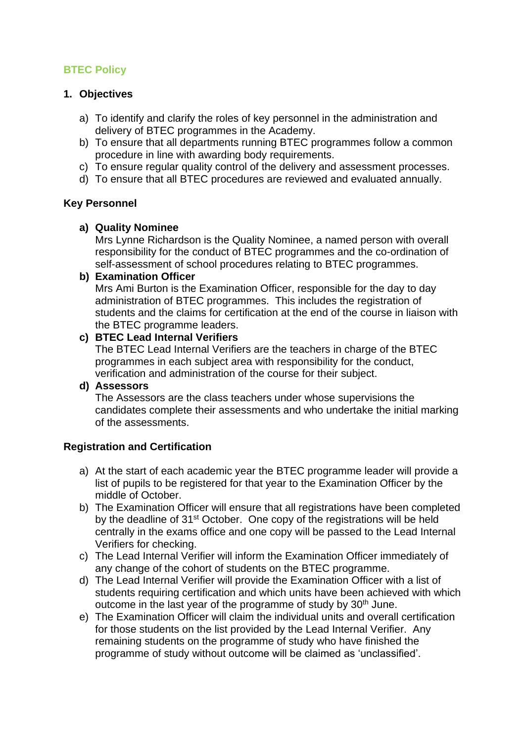# <span id="page-12-0"></span>**BTEC Policy**

## **1. Objectives**

- a) To identify and clarify the roles of key personnel in the administration and delivery of BTEC programmes in the Academy.
- b) To ensure that all departments running BTEC programmes follow a common procedure in line with awarding body requirements.
- c) To ensure regular quality control of the delivery and assessment processes.
- d) To ensure that all BTEC procedures are reviewed and evaluated annually.

## **Key Personnel**

#### **a) Quality Nominee**

Mrs Lynne Richardson is the Quality Nominee, a named person with overall responsibility for the conduct of BTEC programmes and the co-ordination of self-assessment of school procedures relating to BTEC programmes.

#### **b) Examination Officer**

Mrs Ami Burton is the Examination Officer, responsible for the day to day administration of BTEC programmes. This includes the registration of students and the claims for certification at the end of the course in liaison with the BTEC programme leaders.

#### **c) BTEC Lead Internal Verifiers**

The BTEC Lead Internal Verifiers are the teachers in charge of the BTEC programmes in each subject area with responsibility for the conduct, verification and administration of the course for their subject.

#### **d) Assessors**

The Assessors are the class teachers under whose supervisions the candidates complete their assessments and who undertake the initial marking of the assessments.

#### **Registration and Certification**

- a) At the start of each academic year the BTEC programme leader will provide a list of pupils to be registered for that year to the Examination Officer by the middle of October.
- b) The Examination Officer will ensure that all registrations have been completed by the deadline of 31<sup>st</sup> October. One copy of the registrations will be held centrally in the exams office and one copy will be passed to the Lead Internal Verifiers for checking.
- c) The Lead Internal Verifier will inform the Examination Officer immediately of any change of the cohort of students on the BTEC programme.
- d) The Lead Internal Verifier will provide the Examination Officer with a list of students requiring certification and which units have been achieved with which outcome in the last year of the programme of study by 30<sup>th</sup> June.
- e) The Examination Officer will claim the individual units and overall certification for those students on the list provided by the Lead Internal Verifier. Any remaining students on the programme of study who have finished the programme of study without outcome will be claimed as 'unclassified'.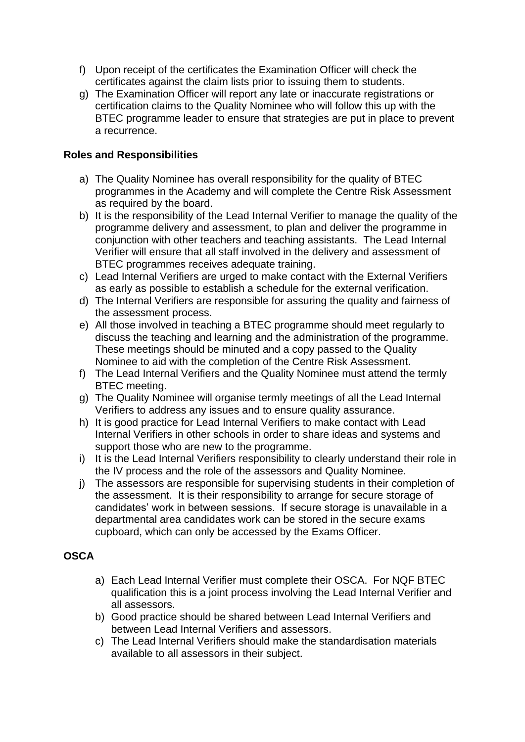- f) Upon receipt of the certificates the Examination Officer will check the certificates against the claim lists prior to issuing them to students.
- g) The Examination Officer will report any late or inaccurate registrations or certification claims to the Quality Nominee who will follow this up with the BTEC programme leader to ensure that strategies are put in place to prevent a recurrence.

#### **Roles and Responsibilities**

- a) The Quality Nominee has overall responsibility for the quality of BTEC programmes in the Academy and will complete the Centre Risk Assessment as required by the board.
- b) It is the responsibility of the Lead Internal Verifier to manage the quality of the programme delivery and assessment, to plan and deliver the programme in conjunction with other teachers and teaching assistants. The Lead Internal Verifier will ensure that all staff involved in the delivery and assessment of BTEC programmes receives adequate training.
- c) Lead Internal Verifiers are urged to make contact with the External Verifiers as early as possible to establish a schedule for the external verification.
- d) The Internal Verifiers are responsible for assuring the quality and fairness of the assessment process.
- e) All those involved in teaching a BTEC programme should meet regularly to discuss the teaching and learning and the administration of the programme. These meetings should be minuted and a copy passed to the Quality Nominee to aid with the completion of the Centre Risk Assessment.
- f) The Lead Internal Verifiers and the Quality Nominee must attend the termly BTEC meeting.
- g) The Quality Nominee will organise termly meetings of all the Lead Internal Verifiers to address any issues and to ensure quality assurance.
- h) It is good practice for Lead Internal Verifiers to make contact with Lead Internal Verifiers in other schools in order to share ideas and systems and support those who are new to the programme.
- i) It is the Lead Internal Verifiers responsibility to clearly understand their role in the IV process and the role of the assessors and Quality Nominee.
- j) The assessors are responsible for supervising students in their completion of the assessment. It is their responsibility to arrange for secure storage of candidates' work in between sessions. If secure storage is unavailable in a departmental area candidates work can be stored in the secure exams cupboard, which can only be accessed by the Exams Officer.

## **OSCA**

- a) Each Lead Internal Verifier must complete their OSCA. For NQF BTEC qualification this is a joint process involving the Lead Internal Verifier and all assessors.
- b) Good practice should be shared between Lead Internal Verifiers and between Lead Internal Verifiers and assessors.
- c) The Lead Internal Verifiers should make the standardisation materials available to all assessors in their subject.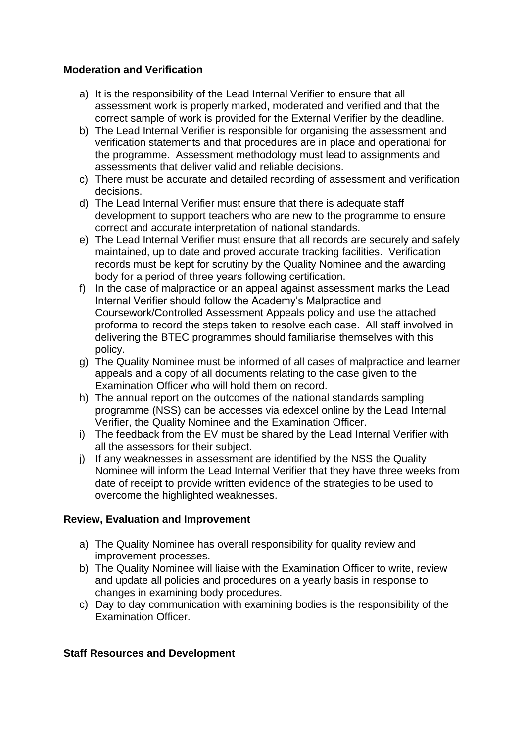## **Moderation and Verification**

- a) It is the responsibility of the Lead Internal Verifier to ensure that all assessment work is properly marked, moderated and verified and that the correct sample of work is provided for the External Verifier by the deadline.
- b) The Lead Internal Verifier is responsible for organising the assessment and verification statements and that procedures are in place and operational for the programme. Assessment methodology must lead to assignments and assessments that deliver valid and reliable decisions.
- c) There must be accurate and detailed recording of assessment and verification decisions.
- d) The Lead Internal Verifier must ensure that there is adequate staff development to support teachers who are new to the programme to ensure correct and accurate interpretation of national standards.
- e) The Lead Internal Verifier must ensure that all records are securely and safely maintained, up to date and proved accurate tracking facilities. Verification records must be kept for scrutiny by the Quality Nominee and the awarding body for a period of three years following certification.
- f) In the case of malpractice or an appeal against assessment marks the Lead Internal Verifier should follow the Academy's Malpractice and Coursework/Controlled Assessment Appeals policy and use the attached proforma to record the steps taken to resolve each case. All staff involved in delivering the BTEC programmes should familiarise themselves with this policy.
- g) The Quality Nominee must be informed of all cases of malpractice and learner appeals and a copy of all documents relating to the case given to the Examination Officer who will hold them on record.
- h) The annual report on the outcomes of the national standards sampling programme (NSS) can be accesses via edexcel online by the Lead Internal Verifier, the Quality Nominee and the Examination Officer.
- i) The feedback from the EV must be shared by the Lead Internal Verifier with all the assessors for their subject.
- j) If any weaknesses in assessment are identified by the NSS the Quality Nominee will inform the Lead Internal Verifier that they have three weeks from date of receipt to provide written evidence of the strategies to be used to overcome the highlighted weaknesses.

#### **Review, Evaluation and Improvement**

- a) The Quality Nominee has overall responsibility for quality review and improvement processes.
- b) The Quality Nominee will liaise with the Examination Officer to write, review and update all policies and procedures on a yearly basis in response to changes in examining body procedures.
- c) Day to day communication with examining bodies is the responsibility of the Examination Officer.

#### **Staff Resources and Development**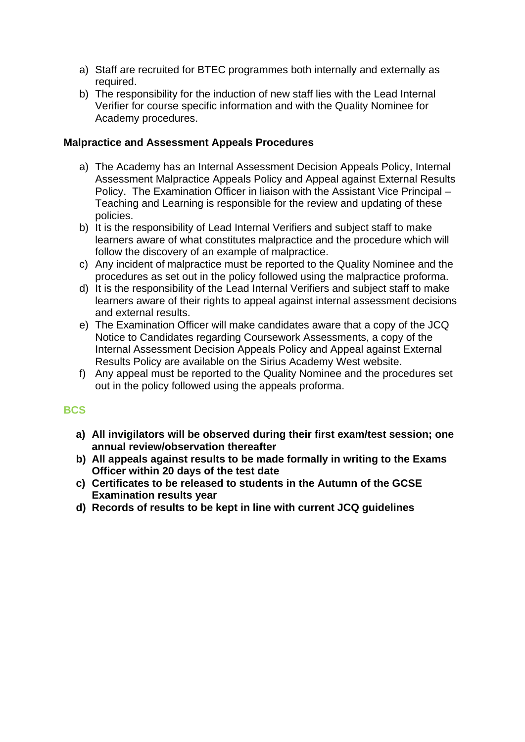- a) Staff are recruited for BTEC programmes both internally and externally as required.
- b) The responsibility for the induction of new staff lies with the Lead Internal Verifier for course specific information and with the Quality Nominee for Academy procedures.

## **Malpractice and Assessment Appeals Procedures**

- a) The Academy has an Internal Assessment Decision Appeals Policy, Internal Assessment Malpractice Appeals Policy and Appeal against External Results Policy. The Examination Officer in liaison with the Assistant Vice Principal – Teaching and Learning is responsible for the review and updating of these policies.
- b) It is the responsibility of Lead Internal Verifiers and subject staff to make learners aware of what constitutes malpractice and the procedure which will follow the discovery of an example of malpractice.
- c) Any incident of malpractice must be reported to the Quality Nominee and the procedures as set out in the policy followed using the malpractice proforma.
- d) It is the responsibility of the Lead Internal Verifiers and subject staff to make learners aware of their rights to appeal against internal assessment decisions and external results.
- e) The Examination Officer will make candidates aware that a copy of the JCQ Notice to Candidates regarding Coursework Assessments, a copy of the Internal Assessment Decision Appeals Policy and Appeal against External Results Policy are available on the Sirius Academy West website.
- f) Any appeal must be reported to the Quality Nominee and the procedures set out in the policy followed using the appeals proforma.

#### **BCS**

- **a) All invigilators will be observed during their first exam/test session; one annual review/observation thereafter**
- **b) All appeals against results to be made formally in writing to the Exams Officer within 20 days of the test date**
- **c) Certificates to be released to students in the Autumn of the GCSE Examination results year**
- **d) Records of results to be kept in line with current JCQ guidelines**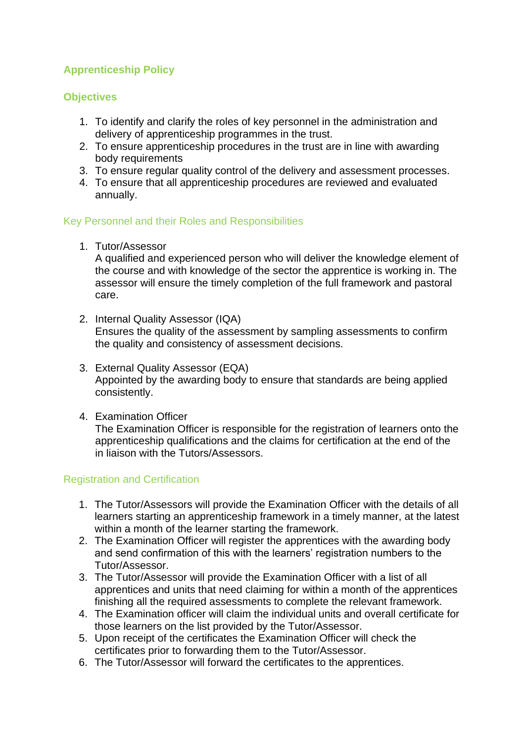# <span id="page-16-0"></span>**Apprenticeship Policy**

## **Objectives**

- 1. To identify and clarify the roles of key personnel in the administration and delivery of apprenticeship programmes in the trust.
- 2. To ensure apprenticeship procedures in the trust are in line with awarding body requirements
- 3. To ensure regular quality control of the delivery and assessment processes.
- 4. To ensure that all apprenticeship procedures are reviewed and evaluated annually.

## Key Personnel and their Roles and Responsibilities

1. Tutor/Assessor

A qualified and experienced person who will deliver the knowledge element of the course and with knowledge of the sector the apprentice is working in. The assessor will ensure the timely completion of the full framework and pastoral care.

- 2. Internal Quality Assessor (IQA) Ensures the quality of the assessment by sampling assessments to confirm the quality and consistency of assessment decisions.
- 3. External Quality Assessor (EQA) Appointed by the awarding body to ensure that standards are being applied consistently.
- 4. Examination Officer

The Examination Officer is responsible for the registration of learners onto the apprenticeship qualifications and the claims for certification at the end of the in liaison with the Tutors/Assessors.

## Registration and Certification

- 1. The Tutor/Assessors will provide the Examination Officer with the details of all learners starting an apprenticeship framework in a timely manner, at the latest within a month of the learner starting the framework.
- 2. The Examination Officer will register the apprentices with the awarding body and send confirmation of this with the learners' registration numbers to the Tutor/Assessor.
- 3. The Tutor/Assessor will provide the Examination Officer with a list of all apprentices and units that need claiming for within a month of the apprentices finishing all the required assessments to complete the relevant framework.
- 4. The Examination officer will claim the individual units and overall certificate for those learners on the list provided by the Tutor/Assessor.
- 5. Upon receipt of the certificates the Examination Officer will check the certificates prior to forwarding them to the Tutor/Assessor.
- 6. The Tutor/Assessor will forward the certificates to the apprentices.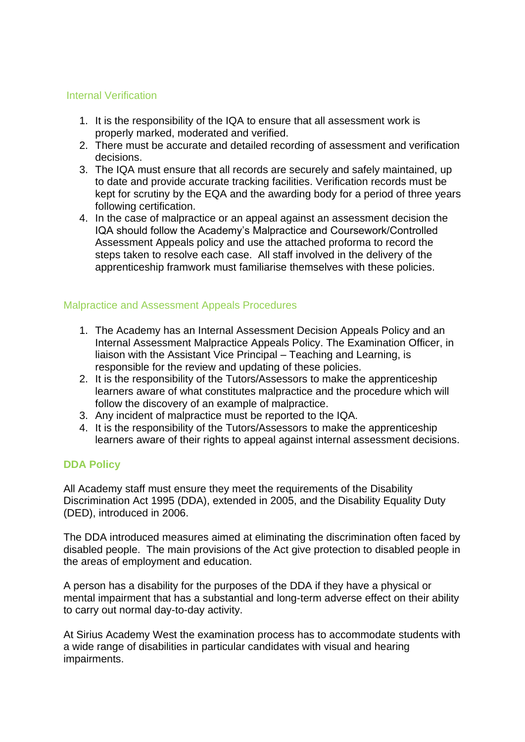#### Internal Verification

- 1. It is the responsibility of the IQA to ensure that all assessment work is properly marked, moderated and verified.
- 2. There must be accurate and detailed recording of assessment and verification decisions.
- 3. The IQA must ensure that all records are securely and safely maintained, up to date and provide accurate tracking facilities. Verification records must be kept for scrutiny by the EQA and the awarding body for a period of three years following certification.
- 4. In the case of malpractice or an appeal against an assessment decision the IQA should follow the Academy's Malpractice and Coursework/Controlled Assessment Appeals policy and use the attached proforma to record the steps taken to resolve each case. All staff involved in the delivery of the apprenticeship framwork must familiarise themselves with these policies.

## Malpractice and Assessment Appeals Procedures

- 1. The Academy has an Internal Assessment Decision Appeals Policy and an Internal Assessment Malpractice Appeals Policy. The Examination Officer, in liaison with the Assistant Vice Principal – Teaching and Learning, is responsible for the review and updating of these policies.
- 2. It is the responsibility of the Tutors/Assessors to make the apprenticeship learners aware of what constitutes malpractice and the procedure which will follow the discovery of an example of malpractice.
- 3. Any incident of malpractice must be reported to the IQA.
- 4. It is the responsibility of the Tutors/Assessors to make the apprenticeship learners aware of their rights to appeal against internal assessment decisions.

#### **DDA Policy**

All Academy staff must ensure they meet the requirements of the Disability Discrimination Act 1995 (DDA), extended in 2005, and the Disability Equality Duty (DED), introduced in 2006.

The DDA introduced measures aimed at eliminating the discrimination often faced by disabled people. The main provisions of the Act give protection to disabled people in the areas of employment and education.

A person has a disability for the purposes of the DDA if they have a physical or mental impairment that has a substantial and long-term adverse effect on their ability to carry out normal day-to-day activity.

At Sirius Academy West the examination process has to accommodate students with a wide range of disabilities in particular candidates with visual and hearing impairments.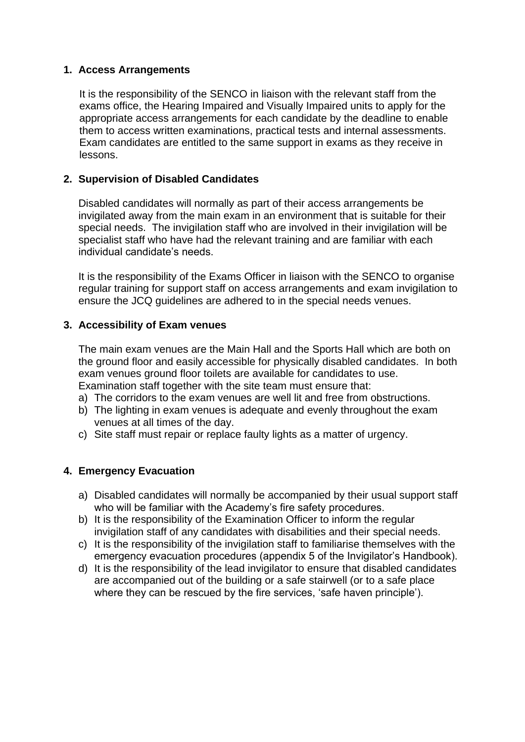## **1. Access Arrangements**

It is the responsibility of the SENCO in liaison with the relevant staff from the exams office, the Hearing Impaired and Visually Impaired units to apply for the appropriate access arrangements for each candidate by the deadline to enable them to access written examinations, practical tests and internal assessments. Exam candidates are entitled to the same support in exams as they receive in lessons.

## **2. Supervision of Disabled Candidates**

Disabled candidates will normally as part of their access arrangements be invigilated away from the main exam in an environment that is suitable for their special needs. The invigilation staff who are involved in their invigilation will be specialist staff who have had the relevant training and are familiar with each individual candidate's needs.

It is the responsibility of the Exams Officer in liaison with the SENCO to organise regular training for support staff on access arrangements and exam invigilation to ensure the JCQ guidelines are adhered to in the special needs venues.

## **3. Accessibility of Exam venues**

The main exam venues are the Main Hall and the Sports Hall which are both on the ground floor and easily accessible for physically disabled candidates. In both exam venues ground floor toilets are available for candidates to use. Examination staff together with the site team must ensure that:

- a) The corridors to the exam venues are well lit and free from obstructions.
- b) The lighting in exam venues is adequate and evenly throughout the exam venues at all times of the day.
- c) Site staff must repair or replace faulty lights as a matter of urgency.

## **4. Emergency Evacuation**

- a) Disabled candidates will normally be accompanied by their usual support staff who will be familiar with the Academy's fire safety procedures.
- b) It is the responsibility of the Examination Officer to inform the regular invigilation staff of any candidates with disabilities and their special needs.
- c) It is the responsibility of the invigilation staff to familiarise themselves with the emergency evacuation procedures (appendix 5 of the Invigilator's Handbook).
- d) It is the responsibility of the lead invigilator to ensure that disabled candidates are accompanied out of the building or a safe stairwell (or to a safe place where they can be rescued by the fire services, 'safe haven principle').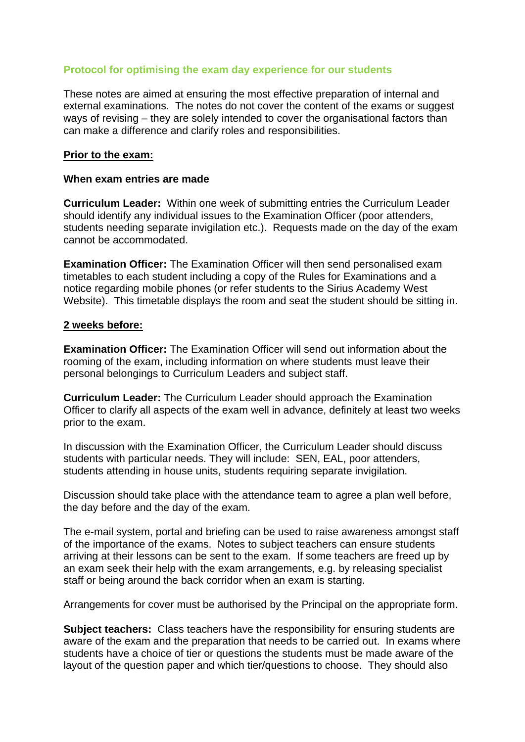## <span id="page-19-0"></span>**Protocol for optimising the exam day experience for our students**

These notes are aimed at ensuring the most effective preparation of internal and external examinations. The notes do not cover the content of the exams or suggest ways of revising – they are solely intended to cover the organisational factors than can make a difference and clarify roles and responsibilities.

#### **Prior to the exam:**

#### **When exam entries are made**

**Curriculum Leader:** Within one week of submitting entries the Curriculum Leader should identify any individual issues to the Examination Officer (poor attenders, students needing separate invigilation etc.). Requests made on the day of the exam cannot be accommodated.

**Examination Officer:** The Examination Officer will then send personalised exam timetables to each student including a copy of the Rules for Examinations and a notice regarding mobile phones (or refer students to the Sirius Academy West Website). This timetable displays the room and seat the student should be sitting in.

#### **2 weeks before:**

**Examination Officer:** The Examination Officer will send out information about the rooming of the exam, including information on where students must leave their personal belongings to Curriculum Leaders and subject staff.

**Curriculum Leader:** The Curriculum Leader should approach the Examination Officer to clarify all aspects of the exam well in advance, definitely at least two weeks prior to the exam.

In discussion with the Examination Officer, the Curriculum Leader should discuss students with particular needs. They will include: SEN, EAL, poor attenders, students attending in house units, students requiring separate invigilation.

Discussion should take place with the attendance team to agree a plan well before, the day before and the day of the exam.

The e-mail system, portal and briefing can be used to raise awareness amongst staff of the importance of the exams. Notes to subject teachers can ensure students arriving at their lessons can be sent to the exam. If some teachers are freed up by an exam seek their help with the exam arrangements, e.g. by releasing specialist staff or being around the back corridor when an exam is starting.

Arrangements for cover must be authorised by the Principal on the appropriate form.

**Subject teachers:** Class teachers have the responsibility for ensuring students are aware of the exam and the preparation that needs to be carried out. In exams where students have a choice of tier or questions the students must be made aware of the layout of the question paper and which tier/questions to choose. They should also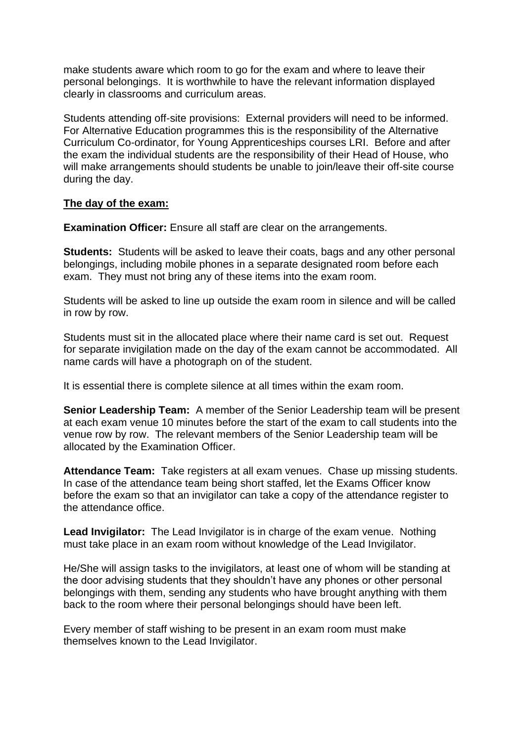make students aware which room to go for the exam and where to leave their personal belongings. It is worthwhile to have the relevant information displayed clearly in classrooms and curriculum areas.

Students attending off-site provisions: External providers will need to be informed. For Alternative Education programmes this is the responsibility of the Alternative Curriculum Co-ordinator, for Young Apprenticeships courses LRI. Before and after the exam the individual students are the responsibility of their Head of House, who will make arrangements should students be unable to join/leave their off-site course during the day.

#### **The day of the exam:**

**Examination Officer:** Ensure all staff are clear on the arrangements.

**Students:** Students will be asked to leave their coats, bags and any other personal belongings, including mobile phones in a separate designated room before each exam. They must not bring any of these items into the exam room.

Students will be asked to line up outside the exam room in silence and will be called in row by row.

Students must sit in the allocated place where their name card is set out. Request for separate invigilation made on the day of the exam cannot be accommodated. All name cards will have a photograph on of the student.

It is essential there is complete silence at all times within the exam room.

**Senior Leadership Team:** A member of the Senior Leadership team will be present at each exam venue 10 minutes before the start of the exam to call students into the venue row by row. The relevant members of the Senior Leadership team will be allocated by the Examination Officer.

**Attendance Team:** Take registers at all exam venues. Chase up missing students. In case of the attendance team being short staffed, let the Exams Officer know before the exam so that an invigilator can take a copy of the attendance register to the attendance office.

**Lead Invigilator:** The Lead Invigilator is in charge of the exam venue. Nothing must take place in an exam room without knowledge of the Lead Invigilator.

He/She will assign tasks to the invigilators, at least one of whom will be standing at the door advising students that they shouldn't have any phones or other personal belongings with them, sending any students who have brought anything with them back to the room where their personal belongings should have been left.

Every member of staff wishing to be present in an exam room must make themselves known to the Lead Invigilator.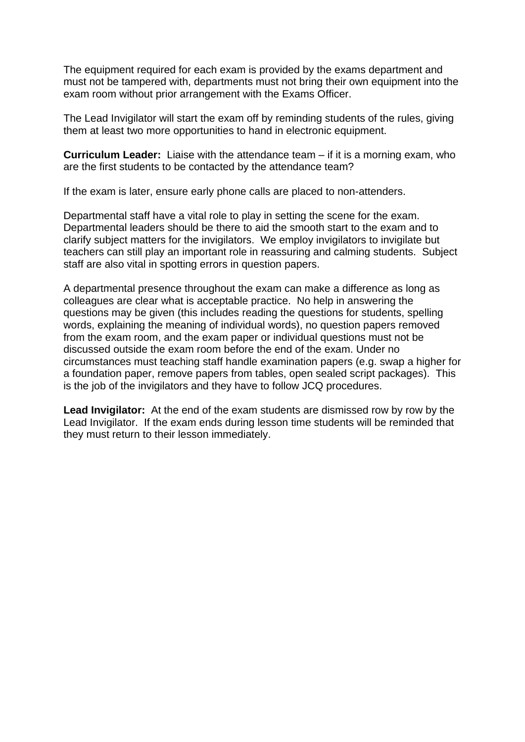The equipment required for each exam is provided by the exams department and must not be tampered with, departments must not bring their own equipment into the exam room without prior arrangement with the Exams Officer.

The Lead Invigilator will start the exam off by reminding students of the rules, giving them at least two more opportunities to hand in electronic equipment.

**Curriculum Leader:** Liaise with the attendance team – if it is a morning exam, who are the first students to be contacted by the attendance team?

If the exam is later, ensure early phone calls are placed to non-attenders.

Departmental staff have a vital role to play in setting the scene for the exam. Departmental leaders should be there to aid the smooth start to the exam and to clarify subject matters for the invigilators. We employ invigilators to invigilate but teachers can still play an important role in reassuring and calming students. Subject staff are also vital in spotting errors in question papers.

A departmental presence throughout the exam can make a difference as long as colleagues are clear what is acceptable practice. No help in answering the questions may be given (this includes reading the questions for students, spelling words, explaining the meaning of individual words), no question papers removed from the exam room, and the exam paper or individual questions must not be discussed outside the exam room before the end of the exam. Under no circumstances must teaching staff handle examination papers (e.g. swap a higher for a foundation paper, remove papers from tables, open sealed script packages). This is the job of the invigilators and they have to follow JCQ procedures.

**Lead Invigilator:** At the end of the exam students are dismissed row by row by the Lead Invigilator. If the exam ends during lesson time students will be reminded that they must return to their lesson immediately.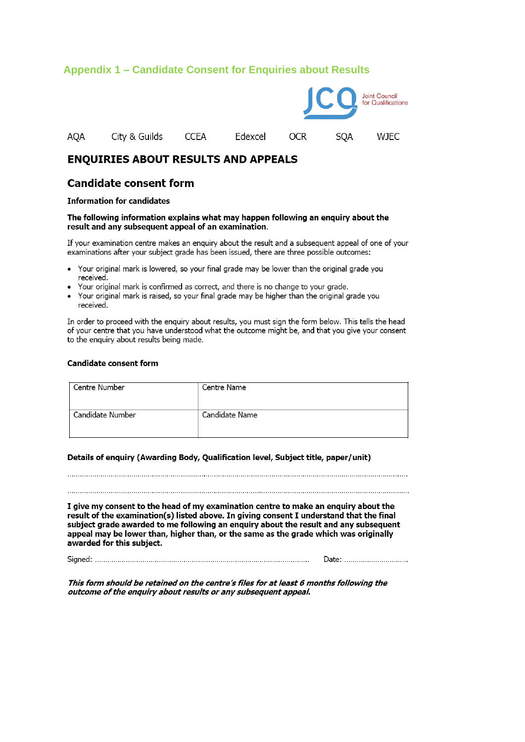#### <span id="page-22-0"></span>**Appendix 1 – Candidate Consent for Enquiries about Results**



#### **ENQUIRIES ABOUT RESULTS AND APPEALS**

#### **Candidate consent form**

#### **Information for candidates**

#### The following information explains what may happen following an enquiry about the result and any subsequent appeal of an examination.

If your examination centre makes an enguiry about the result and a subsequent appeal of one of your examinations after your subject grade has been issued, there are three possible outcomes:

- Your original mark is lowered, so your final grade may be lower than the original grade you received.
- Your original mark is confirmed as correct, and there is no change to your grade.
- Your original mark is raised, so your final grade may be higher than the original grade you received.

In order to proceed with the enquiry about results, you must sign the form below. This tells the head of your centre that you have understood what the outcome might be, and that you give your consent to the enquiry about results being made.

#### **Candidate consent form**

| Centre Number    | Centre Name    |
|------------------|----------------|
| Candidate Number | Candidate Name |

#### Details of enquiry (Awarding Body, Qualification level, Subject title, paper/unit)

이 사이트 STATE STATE STATE STATE STATE STATE STATE STATE STATE STATE STATE STATE STATE STATE STATE STATE STATE ST

I give my consent to the head of my examination centre to make an enquiry about the result of the examination(s) listed above. In giving consent I understand that the final subject grade awarded to me following an enguiry about the result and any subsequent appeal may be lower than, higher than, or the same as the grade which was originally awarded for this subject.

Date: ...............................

This form should be retained on the centre's files for at least 6 months following the outcome of the enquiry about results or any subsequent appeal.